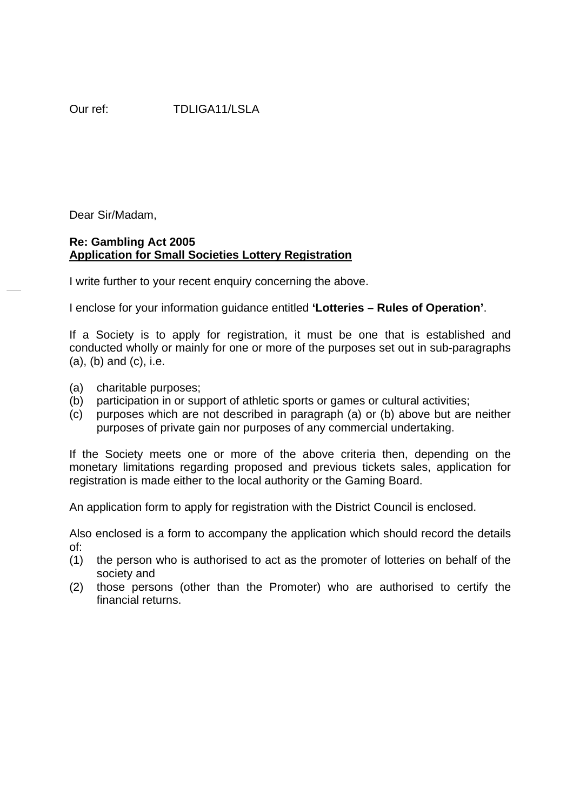Dear Sir/Madam,

## **Re: Gambling Act 2005 Application for Small Societies Lottery Registration**

I write further to your recent enquiry concerning the above.

I enclose for your information guidance entitled **'Lotteries – Rules of Operation'**.

If a Society is to apply for registration, it must be one that is established and conducted wholly or mainly for one or more of the purposes set out in sub-paragraphs (a), (b) and (c), i.e.

- (a) charitable purposes;
- (b) participation in or support of athletic sports or games or cultural activities;
- (c) purposes which are not described in paragraph (a) or (b) above but are neither purposes of private gain nor purposes of any commercial undertaking.

If the Society meets one or more of the above criteria then, depending on the monetary limitations regarding proposed and previous tickets sales, application for registration is made either to the local authority or the Gaming Board.

An application form to apply for registration with the District Council is enclosed.

Also enclosed is a form to accompany the application which should record the details of:

- (1) the person who is authorised to act as the promoter of lotteries on behalf of the society and
- (2) those persons (other than the Promoter) who are authorised to certify the financial returns.